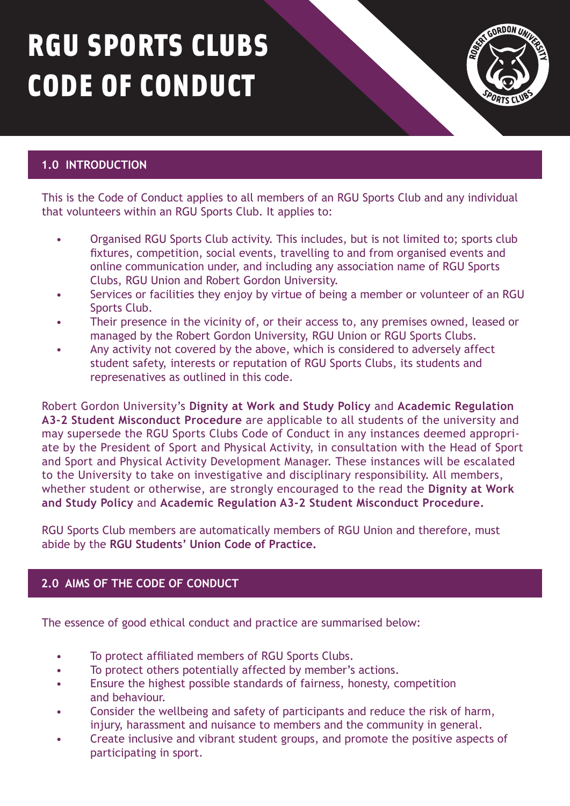# RGU SPORTS CLUBS CODE OF CONDUCT



# **1.0 INTRODUCTION**

This is the Code of Conduct applies to all members of an RGU Sports Club and any individual that volunteers within an RGU Sports Club. It applies to:

- Organised RGU Sports Club activity. This includes, but is not limited to; sports club fixtures, competition, social events, travelling to and from organised events and online communication under, and including any association name of RGU Sports Clubs, RGU Union and Robert Gordon University.
- Services or facilities they enjoy by virtue of being a member or volunteer of an RGU Sports Club.
- Their presence in the vicinity of, or their access to, any premises owned, leased or managed by the Robert Gordon University, RGU Union or RGU Sports Clubs.
- Any activity not covered by the above, which is considered to adversely affect student safety, interests or reputation of RGU Sports Clubs, its students and represenatives as outlined in this code.

Robert Gordon University's **[Dignity at Work and Study Policy](https://www.rgu.ac.uk/about/university-policies)** and **Academic Regulation A3-2 Student Misconduct Procedure** [are applicable to all students of the university and](https://www.rgu.ac.uk/page-not-found?addsearch=academic-regulations?) may supersede the RGU Sports Clubs Code of Conduct in any instances deemed appropriate by the President of Sport and Physical Activity, in consultation with the Head of Sport and Sport and Physical Activity Development Manager. These instances will be escalated to the University to take on investigative and disciplinary responsibility. All members, [whether student or otherwise, are strongly encouraged to the read the](https://www.rgu.ac.uk/about/university-policies) **Dignity at Work and Study Policy** and **[Academic Regulation A3-2 Student Misconduct Procedure.](https://www.rgu.ac.uk/page-not-found?addsearch=academic-regulations?)**

RGU Sports Club members are automatically members of RGU Union and therefore, must abide by the **[RGU Students' Union Code of Practice.](https://www.rguunion.co.uk/pageassets/about/policy/codeofpractice/Students-Union-Code-of-Practice.pdf)**

## **2.0 AIMS OF THE CODE OF CONDUCT**

The essence of good ethical conduct and practice are summarised below:

- • To protect affiliated members of RGU Sports Clubs.
- To protect others potentially affected by member's actions.
- Ensure the highest possible standards of fairness, honesty, competition and behaviour.
- Consider the wellbeing and safety of participants and reduce the risk of harm, injury, harassment and nuisance to members and the community in general.
- Create inclusive and vibrant student groups, and promote the positive aspects of participating in sport.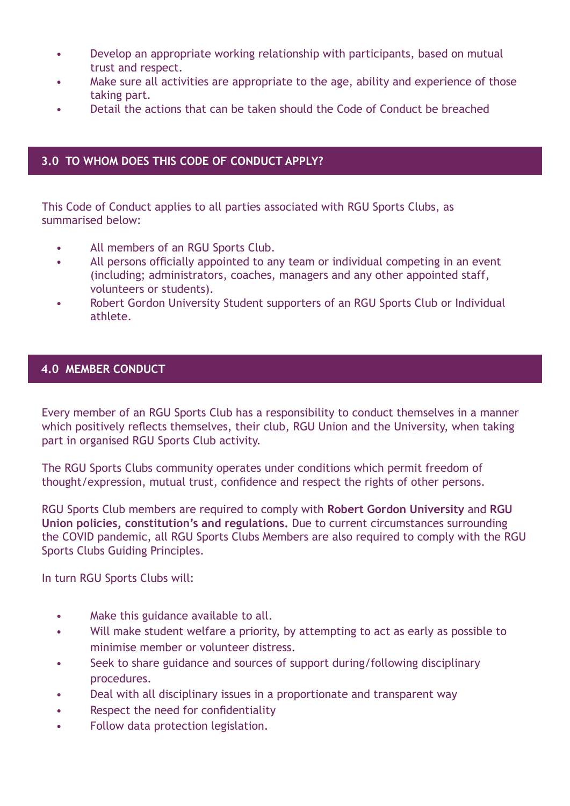- Develop an appropriate working relationship with participants, based on mutual trust and respect.
- Make sure all activities are appropriate to the age, ability and experience of those taking part.
- Detail the actions that can be taken should the Code of Conduct be breached

### **3.0 TO WHOM DOES THIS CODE OF CONDUCT APPLY?**

This Code of Conduct applies to all parties associated with RGU Sports Clubs, as summarised below:

- All members of an RGU Sports Club.
- All persons officially appointed to any team or individual competing in an event (including; administrators, coaches, managers and any other appointed staff, volunteers or students).
- Robert Gordon University Student supporters of an RGU Sports Club or Individual athlete.

### **4.0 MEMBER CONDUCT**

Every member of an RGU Sports Club has a responsibility to conduct themselves in a manner which positively reflects themselves, their club, RGU Union and the University, when taking part in organised RGU Sports Club activity.

The RGU Sports Clubs community operates under conditions which permit freedom of thought/expression, mutual trust, confidence and respect the rights of other persons.

[RGU Sports Club members are required to comply with](https://www.rguunion.co.uk/about/policy/) **[Robert Gordon University](https://www.rgu.ac.uk/about/university-policies)** and **RGU Union policies, [constitution's and regulations.](https://www.rguunion.co.uk/about/constitution/)** Due to current circumstances surrounding the COVID pandemic, all RGU Sports Clubs Members are also required to comply with the RGU Sports Clubs Guiding Principles.

In turn RGU Sports Clubs will:

- Make this guidance available to all.
- Will make student welfare a priority, by attempting to act as early as possible to minimise member or volunteer distress.
- Seek to share guidance and sources of support during/following disciplinary procedures.
- Deal with all disciplinary issues in a proportionate and transparent way
- Respect the need for confidentiality
- Follow data protection legislation.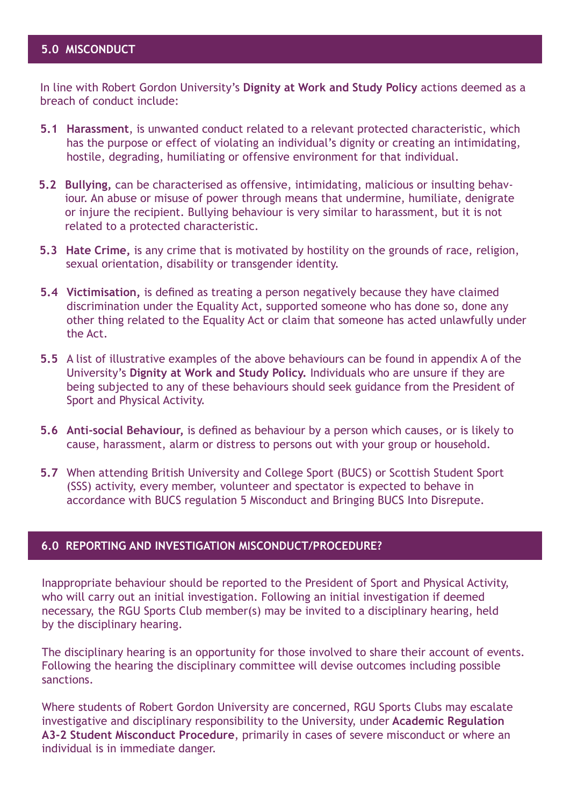### **5.0 MISCONDUCT**

In line with Robert Gordon University's **[Dignity at Work and Study Policy](https://www.rgu.ac.uk/about/university-policies)** actions deemed as a breach of conduct include:

- **5.1 Harassment**, is unwanted conduct related to a relevant protected characteristic, which has the purpose or effect of violating an individual's dignity or creating an intimidating, hostile, degrading, humiliating or offensive environment for that individual.
- **5.2 Bullying,** can be characterised as offensive, intimidating, malicious or insulting behaviour. An abuse or misuse of power through means that undermine, humiliate, denigrate or injure the recipient. Bullying behaviour is very similar to harassment, but it is not related to a protected characteristic.
- **5.3 Hate Crime,** is any crime that is motivated by hostility on the grounds of race, religion, sexual orientation, disability or transgender identity.
- **5.4 Victimisation,** is defined as treating a person negatively because they have claimed discrimination under the Equality Act, supported someone who has done so, done any other thing related to the Equality Act or claim that someone has acted unlawfully under the Act.
- **5.5** A list of illustrative examples of the above behaviours can be found in appendix A of the University's **[Dignity at Work and Study Policy.](https://www.rgu.ac.uk/about/university-policies)** Individuals who are unsure if they are being subjected to any of these behaviours should seek guidance from the President of Sport and Physical Activity.
- **5.6 Anti-social Behaviour,** is defined as behaviour by a person which causes, or is likely to cause, harassment, alarm or distress to persons out with your group or household.
- **5.7** When attending British University and College Sport (BUCS) or Scottish Student Sport (SSS) activity, every member, volunteer and spectator is expected to behave in accordance with BUCS regulation 5 Misconduct and Bringing BUCS Into Disrepute.

#### **6.0 REPORTING AND INVESTIGATION MISCONDUCT/PROCEDURE?**

Inappropriate behaviour should be reported to the President of Sport and Physical Activity, who will carry out an initial investigation. Following an initial investigation if deemed necessary, the RGU Sports Club member(s) may be invited to a disciplinary hearing, held by the disciplinary hearing.

The disciplinary hearing is an opportunity for those involved to share their account of events. Following the hearing the disciplinary committee will devise outcomes including possible sanctions.

Where students of Robert Gordon University are concerned, RGU Sports Clubs may escalate [investigative and disciplinary responsibility to the University, under](https://www.rgu.ac.uk/page-not-found?addsearch=academic-regulations?) **Academic Regulation A3-2 Student Misconduct Procedure**, primarily in cases of severe misconduct or where an individual is in immediate danger.